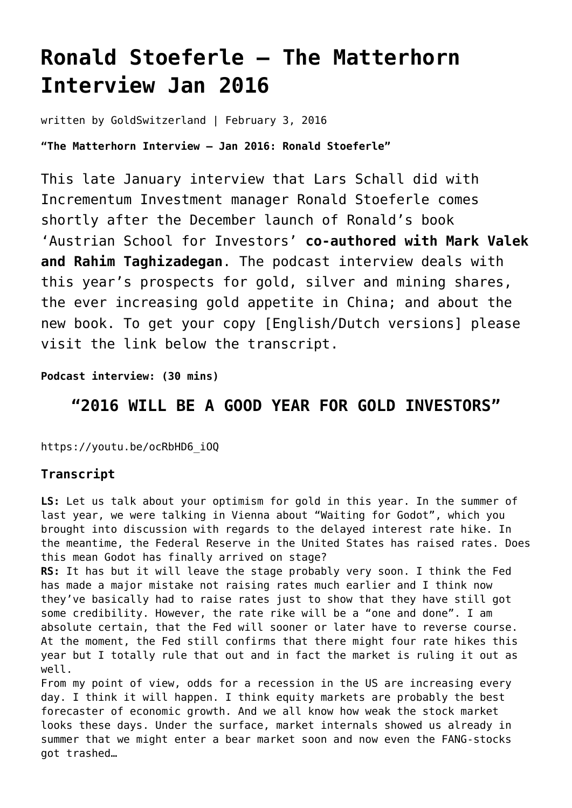# **[Ronald Stoeferle – The Matterhorn](https://goldswitzerland.com/ronald-stoeferle-the-matterhorn-interview-jan-2016/) [Interview Jan 2016](https://goldswitzerland.com/ronald-stoeferle-the-matterhorn-interview-jan-2016/)**

written by GoldSwitzerland | February 3, 2016

**"The Matterhorn Interview – Jan 2016: Ronald Stoeferle"**

This late January interview that Lars Schall did with Incrementum Investment manager Ronald Stoeferle comes shortly after the December launch of Ronald's book 'Austrian School for Investors' **co-authored with Mark Valek and Rahim Taghizadegan**. The podcast interview deals with this year's prospects for gold, silver and mining shares, the ever increasing gold appetite in China; and about the new book. To get your copy [English/Dutch versions] please visit the link below the transcript.

**Podcast interview: (30 mins)**

## **"2016 WILL BE A GOOD YEAR FOR GOLD INVESTORS"**

https://youtu.be/ocRbHD6\_iOQ

## **Transcript**

**LS:** Let us talk about your optimism for gold in this year. In the summer of last year, we were talking in Vienna about "Waiting for Godot", which you brought into discussion with regards to the delayed interest rate hike. In the meantime, the Federal Reserve in the United States has raised rates. Does this mean Godot has finally arrived on stage?

**RS:** It has but it will leave the stage probably very soon. I think the Fed has made a major mistake not raising rates much earlier and I think now they've basically had to raise rates just to show that they have still got some credibility. However, the rate rike will be a "one and done". I am absolute certain, that the Fed will sooner or later have to reverse course. At the moment, the Fed still confirms that there might four rate hikes this year but I totally rule that out and in fact the market is ruling it out as well.

From my point of view, odds for a recession in the US are increasing every day. I think it will happen. I think equity markets are probably the best forecaster of economic growth. And we all know how weak the stock market looks these days. Under the surface, market internals showed us already in summer that we might enter a bear market soon and now even the FANG-stocks got trashed…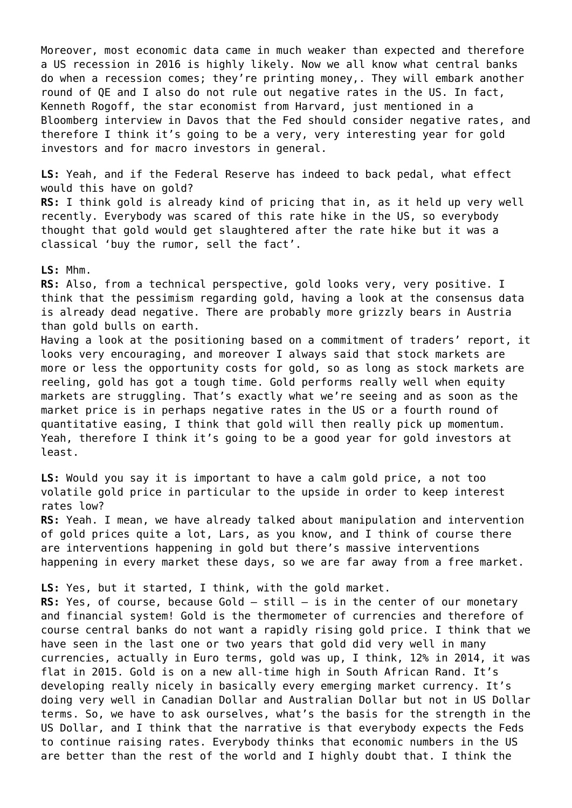Moreover, most economic data came in much weaker than expected and therefore a US recession in 2016 is highly likely. Now we all know what central banks do when a recession comes; they're printing money,. They will embark another round of QE and I also do not rule out negative rates in the US. In fact, Kenneth Rogoff, the star economist from Harvard, just mentioned in a Bloomberg interview in Davos that the Fed should consider negative rates, and therefore I think it's going to be a very, very interesting year for gold investors and for macro investors in general.

**LS:** Yeah, and if the Federal Reserve has indeed to back pedal, what effect would this have on gold? **RS:** I think gold is already kind of pricing that in, as it held up very well recently. Everybody was scared of this rate hike in the US, so everybody thought that gold would get slaughtered after the rate hike but it was a classical 'buy the rumor, sell the fact'.

### **LS:** Mhm.

**RS:** Also, from a technical perspective, gold looks very, very positive. I think that the pessimism regarding gold, having a look at the consensus data is already dead negative. There are probably more grizzly bears in Austria than gold bulls on earth.

Having a look at the positioning based on a commitment of traders' report, it looks very encouraging, and moreover I always said that stock markets are more or less the opportunity costs for gold, so as long as stock markets are reeling, gold has got a tough time. Gold performs really well when equity markets are struggling. That's exactly what we're seeing and as soon as the market price is in perhaps negative rates in the US or a fourth round of quantitative easing, I think that gold will then really pick up momentum. Yeah, therefore I think it's going to be a good year for gold investors at least.

**LS:** Would you say it is important to have a calm gold price, a not too volatile gold price in particular to the upside in order to keep interest rates low?

**RS:** Yeah. I mean, we have already talked about manipulation and intervention of gold prices quite a lot, Lars, as you know, and I think of course there are interventions happening in gold but there's massive interventions happening in every market these days, so we are far away from a free market.

**LS:** Yes, but it started, I think, with the gold market.

**RS:** Yes, of course, because Gold – still – is in the center of our monetary and financial system! Gold is the thermometer of currencies and therefore of course central banks do not want a rapidly rising gold price. I think that we have seen in the last one or two years that gold did very well in many currencies, actually in Euro terms, gold was up, I think, 12% in 2014, it was flat in 2015. Gold is on a new all-time high in South African Rand. It's developing really nicely in basically every emerging market currency. It's doing very well in Canadian Dollar and Australian Dollar but not in US Dollar terms. So, we have to ask ourselves, what's the basis for the strength in the US Dollar, and I think that the narrative is that everybody expects the Feds to continue raising rates. Everybody thinks that economic numbers in the US are better than the rest of the world and I highly doubt that. I think the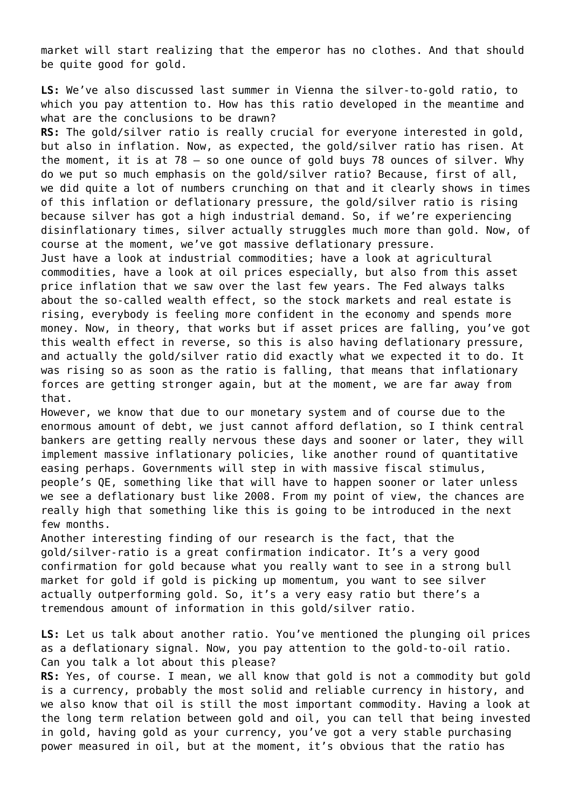market will start realizing that the emperor has no clothes. And that should be quite good for gold.

**LS:** We've also discussed last summer in Vienna the silver-to-gold ratio, to which you pay attention to. How has this ratio developed in the meantime and what are the conclusions to be drawn?

**RS:** The gold/silver ratio is really crucial for everyone interested in gold, but also in inflation. Now, as expected, the gold/silver ratio has risen. At the moment, it is at 78 – so one ounce of gold buys 78 ounces of silver. Why do we put so much emphasis on the gold/silver ratio? Because, first of all, we did quite a lot of numbers crunching on that and it clearly shows in times of this inflation or deflationary pressure, the gold/silver ratio is rising because silver has got a high industrial demand. So, if we're experiencing disinflationary times, silver actually struggles much more than gold. Now, of course at the moment, we've got massive deflationary pressure.

Just have a look at industrial commodities; have a look at agricultural commodities, have a look at oil prices especially, but also from this asset price inflation that we saw over the last few years. The Fed always talks about the so-called wealth effect, so the stock markets and real estate is rising, everybody is feeling more confident in the economy and spends more money. Now, in theory, that works but if asset prices are falling, you've got this wealth effect in reverse, so this is also having deflationary pressure, and actually the gold/silver ratio did exactly what we expected it to do. It was rising so as soon as the ratio is falling, that means that inflationary forces are getting stronger again, but at the moment, we are far away from that.

However, we know that due to our monetary system and of course due to the enormous amount of debt, we just cannot afford deflation, so I think central bankers are getting really nervous these days and sooner or later, they will implement massive inflationary policies, like another round of quantitative easing perhaps. Governments will step in with massive fiscal stimulus, people's QE, something like that will have to happen sooner or later unless we see a deflationary bust like 2008. From my point of view, the chances are really high that something like this is going to be introduced in the next few months.

Another interesting finding of our research is the fact, that the gold/silver-ratio is a great confirmation indicator. It's a very good confirmation for gold because what you really want to see in a strong bull market for gold if gold is picking up momentum, you want to see silver actually outperforming gold. So, it's a very easy ratio but there's a tremendous amount of information in this gold/silver ratio.

**LS:** Let us talk about another ratio. You've mentioned the plunging oil prices as a deflationary signal. Now, you pay attention to the gold-to-oil ratio. Can you talk a lot about this please?

**RS:** Yes, of course. I mean, we all know that gold is not a commodity but gold is a currency, probably the most solid and reliable currency in history, and we also know that oil is still the most important commodity. Having a look at the long term relation between gold and oil, you can tell that being invested in gold, having gold as your currency, you've got a very stable purchasing power measured in oil, but at the moment, it's obvious that the ratio has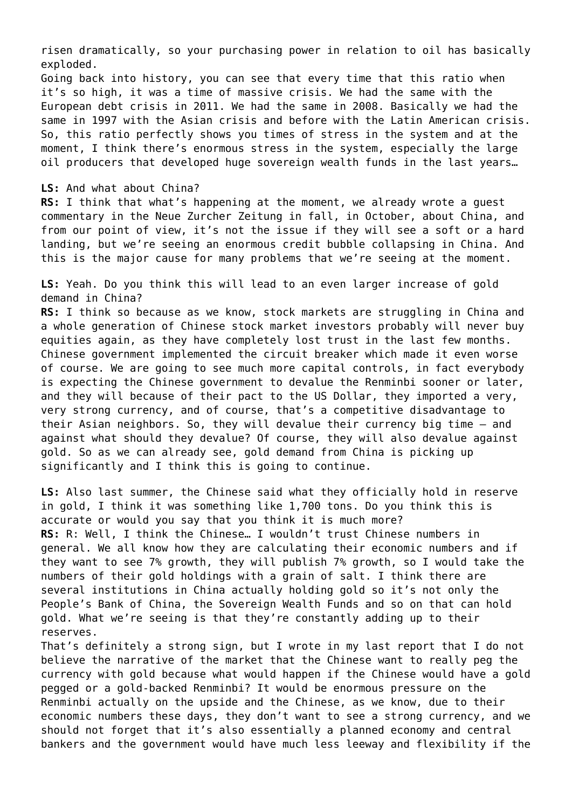risen dramatically, so your purchasing power in relation to oil has basically exploded.

Going back into history, you can see that every time that this ratio when it's so high, it was a time of massive crisis. We had the same with the European debt crisis in 2011. We had the same in 2008. Basically we had the same in 1997 with the Asian crisis and before with the Latin American crisis. So, this ratio perfectly shows you times of stress in the system and at the moment, I think there's enormous stress in the system, especially the large oil producers that developed huge sovereign wealth funds in the last years…

#### **LS:** And what about China?

**RS:** I think that what's happening at the moment, we already wrote a guest commentary in the Neue Zurcher Zeitung in fall, in October, about China, and from our point of view, it's not the issue if they will see a soft or a hard landing, but we're seeing an enormous credit bubble collapsing in China. And this is the major cause for many problems that we're seeing at the moment.

**LS:** Yeah. Do you think this will lead to an even larger increase of gold demand in China?

**RS:** I think so because as we know, stock markets are struggling in China and a whole generation of Chinese stock market investors probably will never buy equities again, as they have completely lost trust in the last few months. Chinese government implemented the circuit breaker which made it even worse of course. We are going to see much more capital controls, in fact everybody is expecting the Chinese government to devalue the Renminbi sooner or later, and they will because of their pact to the US Dollar, they imported a very, very strong currency, and of course, that's a competitive disadvantage to their Asian neighbors. So, they will devalue their currency big time – and against what should they devalue? Of course, they will also devalue against gold. So as we can already see, gold demand from China is picking up significantly and I think this is going to continue.

**LS:** Also last summer, the Chinese said what they officially hold in reserve in gold, I think it was something like 1,700 tons. Do you think this is accurate or would you say that you think it is much more? **RS:** R: Well, I think the Chinese… I wouldn't trust Chinese numbers in general. We all know how they are calculating their economic numbers and if they want to see 7% growth, they will publish 7% growth, so I would take the numbers of their gold holdings with a grain of salt. I think there are several institutions in China actually holding gold so it's not only the People's Bank of China, the Sovereign Wealth Funds and so on that can hold gold. What we're seeing is that they're constantly adding up to their reserves.

That's definitely a strong sign, but I wrote in my last report that I do not believe the narrative of the market that the Chinese want to really peg the currency with gold because what would happen if the Chinese would have a gold pegged or a gold-backed Renminbi? It would be enormous pressure on the Renminbi actually on the upside and the Chinese, as we know, due to their economic numbers these days, they don't want to see a strong currency, and we should not forget that it's also essentially a planned economy and central bankers and the government would have much less leeway and flexibility if the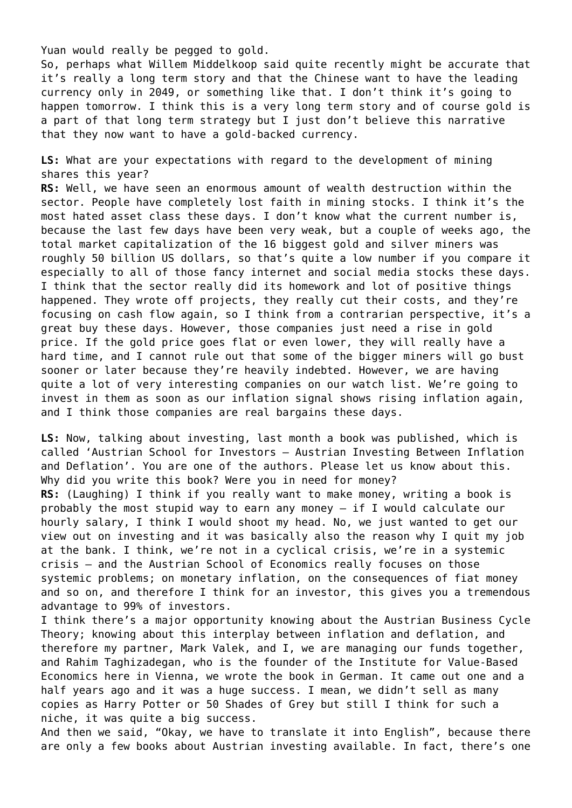Yuan would really be pegged to gold.

So, perhaps what Willem Middelkoop said quite recently might be accurate that it's really a long term story and that the Chinese want to have the leading currency only in 2049, or something like that. I don't think it's going to happen tomorrow. I think this is a very long term story and of course gold is a part of that long term strategy but I just don't believe this narrative that they now want to have a gold-backed currency.

**LS:** What are your expectations with regard to the development of mining shares this year?

**RS:** Well, we have seen an enormous amount of wealth destruction within the sector. People have completely lost faith in mining stocks. I think it's the most hated asset class these days. I don't know what the current number is, because the last few days have been very weak, but a couple of weeks ago, the total market capitalization of the 16 biggest gold and silver miners was roughly 50 billion US dollars, so that's quite a low number if you compare it especially to all of those fancy internet and social media stocks these days. I think that the sector really did its homework and lot of positive things happened. They wrote off projects, they really cut their costs, and they're focusing on cash flow again, so I think from a contrarian perspective, it's a great buy these days. However, those companies just need a rise in gold price. If the gold price goes flat or even lower, they will really have a hard time, and I cannot rule out that some of the bigger miners will go bust sooner or later because they're heavily indebted. However, we are having quite a lot of very interesting companies on our watch list. We're going to invest in them as soon as our inflation signal shows rising inflation again, and I think those companies are real bargains these days.

**LS:** Now, talking about investing, last month a book was published, which is called 'Austrian School for Investors – Austrian Investing Between Inflation and Deflation'. You are one of the authors. Please let us know about this. Why did you write this book? Were you in need for money? **RS:** (Laughing) I think if you really want to make money, writing a book is probably the most stupid way to earn any money – if I would calculate our hourly salary, I think I would shoot my head. No, we just wanted to get our view out on investing and it was basically also the reason why I quit my job at the bank. I think, we're not in a cyclical crisis, we're in a systemic crisis – and the Austrian School of Economics really focuses on those systemic problems; on monetary inflation, on the consequences of fiat money and so on, and therefore I think for an investor, this gives you a tremendous advantage to 99% of investors.

I think there's a major opportunity knowing about the Austrian Business Cycle Theory; knowing about this interplay between inflation and deflation, and therefore my partner, Mark Valek, and I, we are managing our funds together, and Rahim Taghizadegan, who is the founder of the Institute for Value-Based Economics here in Vienna, we wrote the book in German. It came out one and a half years ago and it was a huge success. I mean, we didn't sell as many copies as Harry Potter or 50 Shades of Grey but still I think for such a niche, it was quite a big success.

And then we said, "Okay, we have to translate it into English", because there are only a few books about Austrian investing available. In fact, there's one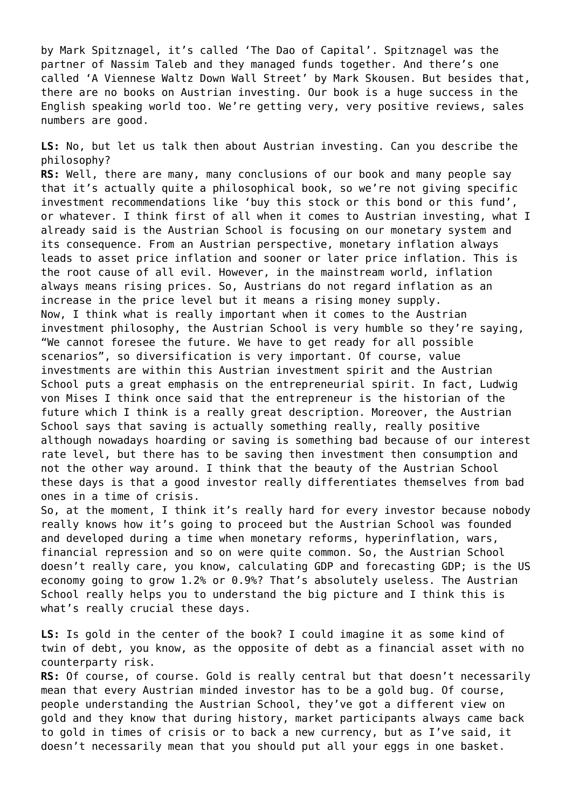by Mark Spitznagel, it's called 'The Dao of Capital'. Spitznagel was the partner of Nassim Taleb and they managed funds together. And there's one called 'A Viennese Waltz Down Wall Street' by Mark Skousen. But besides that, there are no books on Austrian investing. Our book is a huge success in the English speaking world too. We're getting very, very positive reviews, sales numbers are good.

**LS:** No, but let us talk then about Austrian investing. Can you describe the philosophy?

**RS:** Well, there are many, many conclusions of our book and many people say that it's actually quite a philosophical book, so we're not giving specific investment recommendations like 'buy this stock or this bond or this fund', or whatever. I think first of all when it comes to Austrian investing, what I already said is the Austrian School is focusing on our monetary system and its consequence. From an Austrian perspective, monetary inflation always leads to asset price inflation and sooner or later price inflation. This is the root cause of all evil. However, in the mainstream world, inflation always means rising prices. So, Austrians do not regard inflation as an increase in the price level but it means a rising money supply. Now, I think what is really important when it comes to the Austrian investment philosophy, the Austrian School is very humble so they're saying, "We cannot foresee the future. We have to get ready for all possible scenarios", so diversification is very important. Of course, value investments are within this Austrian investment spirit and the Austrian School puts a great emphasis on the entrepreneurial spirit. In fact, Ludwig von Mises I think once said that the entrepreneur is the historian of the future which I think is a really great description. Moreover, the Austrian School says that saving is actually something really, really positive although nowadays hoarding or saving is something bad because of our interest rate level, but there has to be saving then investment then consumption and not the other way around. I think that the beauty of the Austrian School these days is that a good investor really differentiates themselves from bad ones in a time of crisis.

So, at the moment, I think it's really hard for every investor because nobody really knows how it's going to proceed but the Austrian School was founded and developed during a time when monetary reforms, hyperinflation, wars, financial repression and so on were quite common. So, the Austrian School doesn't really care, you know, calculating GDP and forecasting GDP; is the US economy going to grow 1.2% or 0.9%? That's absolutely useless. The Austrian School really helps you to understand the big picture and I think this is what's really crucial these days.

**LS:** Is gold in the center of the book? I could imagine it as some kind of twin of debt, you know, as the opposite of debt as a financial asset with no counterparty risk.

**RS:** Of course, of course. Gold is really central but that doesn't necessarily mean that every Austrian minded investor has to be a gold bug. Of course, people understanding the Austrian School, they've got a different view on gold and they know that during history, market participants always came back to gold in times of crisis or to back a new currency, but as I've said, it doesn't necessarily mean that you should put all your eggs in one basket.